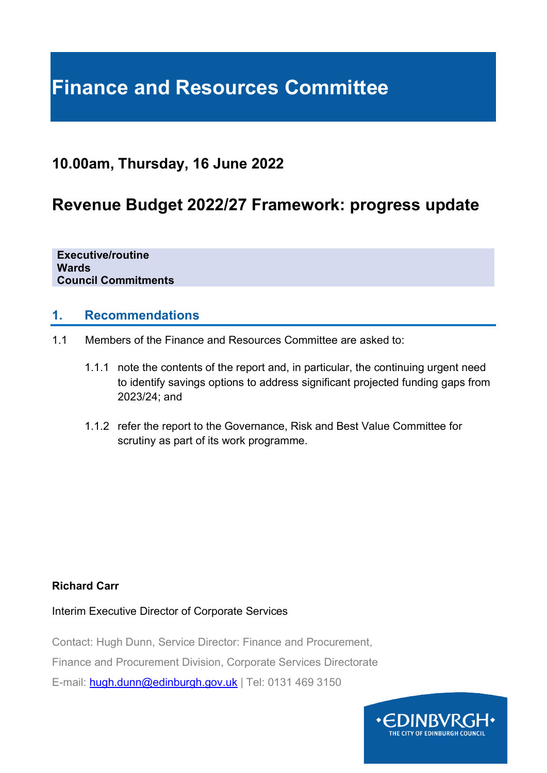## **Finance and Resources Committee**

### **10.00am, Thursday, 16 June 2022**

## **Revenue Budget 2022/27 Framework: progress update**

**Executive/routine Wards Council Commitments**

#### **1. Recommendations**

- 1.1 Members of the Finance and Resources Committee are asked to:
	- 1.1.1 note the contents of the report and, in particular, the continuing urgent need to identify savings options to address significant projected funding gaps from 2023/24; and
	- 1.1.2 refer the report to the Governance, Risk and Best Value Committee for scrutiny as part of its work programme.

#### **Richard Carr**

Interim Executive Director of Corporate Services

Contact: Hugh Dunn, Service Director: Finance and Procurement,

Finance and Procurement Division, Corporate Services Directorate

E-mail: [hugh.dunn@edinburgh.gov.uk](mailto:hugh.dunn@edinburgh.gov.uk) | Tel: 0131 469 3150

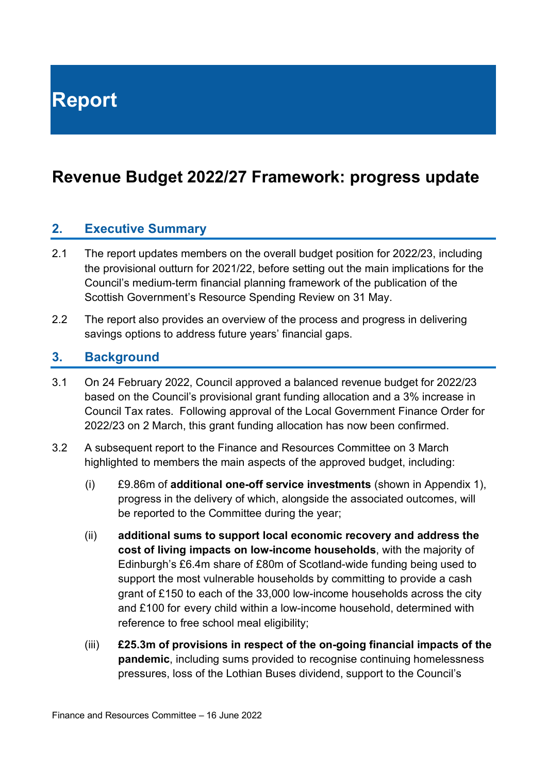**Report**

## **Revenue Budget 2022/27 Framework: progress update**

#### **2. Executive Summary**

- 2.1 The report updates members on the overall budget position for 2022/23, including the provisional outturn for 2021/22, before setting out the main implications for the Council's medium-term financial planning framework of the publication of the Scottish Government's Resource Spending Review on 31 May.
- 2.2 The report also provides an overview of the process and progress in delivering savings options to address future years' financial gaps.

#### **3. Background**

- 3.1 On 24 February 2022, Council approved a balanced revenue budget for 2022/23 based on the Council's provisional grant funding allocation and a 3% increase in Council Tax rates. Following approval of the Local Government Finance Order for 2022/23 on 2 March, this grant funding allocation has now been confirmed.
- 3.2 A subsequent report to the Finance and Resources Committee on 3 March highlighted to members the main aspects of the approved budget, including:
	- (i) £9.86m of **additional one-off service investments** (shown in Appendix 1), progress in the delivery of which, alongside the associated outcomes, will be reported to the Committee during the year;
	- (ii) **additional sums to support local economic recovery and address the cost of living impacts on low-income households**, with the majority of Edinburgh's £6.4m share of £80m of Scotland-wide funding being used to support the most vulnerable households by committing to provide a cash grant of £150 to each of the 33,000 low-income households across the city and £100 for every child within a low-income household, determined with reference to free school meal eligibility;
	- (iii) **£25.3m of provisions in respect of the on-going financial impacts of the pandemic**, including sums provided to recognise continuing homelessness pressures, loss of the Lothian Buses dividend, support to the Council's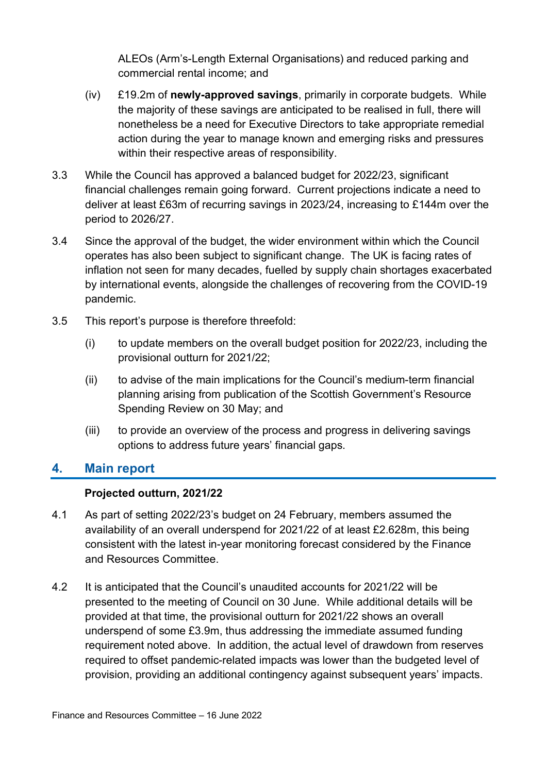ALEOs (Arm's-Length External Organisations) and reduced parking and commercial rental income; and

- (iv) £19.2m of **newly-approved savings**, primarily in corporate budgets. While the majority of these savings are anticipated to be realised in full, there will nonetheless be a need for Executive Directors to take appropriate remedial action during the year to manage known and emerging risks and pressures within their respective areas of responsibility.
- 3.3 While the Council has approved a balanced budget for 2022/23, significant financial challenges remain going forward. Current projections indicate a need to deliver at least £63m of recurring savings in 2023/24, increasing to £144m over the period to 2026/27.
- 3.4 Since the approval of the budget, the wider environment within which the Council operates has also been subject to significant change. The UK is facing rates of inflation not seen for many decades, fuelled by supply chain shortages exacerbated by international events, alongside the challenges of recovering from the COVID-19 pandemic.
- 3.5 This report's purpose is therefore threefold:
	- (i) to update members on the overall budget position for 2022/23, including the provisional outturn for 2021/22;
	- (ii) to advise of the main implications for the Council's medium-term financial planning arising from publication of the Scottish Government's Resource Spending Review on 30 May; and
	- (iii) to provide an overview of the process and progress in delivering savings options to address future years' financial gaps.

#### **4. Main report**

#### **Projected outturn, 2021/22**

- 4.1 As part of setting 2022/23's budget on 24 February, members assumed the availability of an overall underspend for 2021/22 of at least £2.628m, this being consistent with the latest in-year monitoring forecast considered by the Finance and Resources Committee.
- 4.2 It is anticipated that the Council's unaudited accounts for 2021/22 will be presented to the meeting of Council on 30 June. While additional details will be provided at that time, the provisional outturn for 2021/22 shows an overall underspend of some £3.9m, thus addressing the immediate assumed funding requirement noted above. In addition, the actual level of drawdown from reserves required to offset pandemic-related impacts was lower than the budgeted level of provision, providing an additional contingency against subsequent years' impacts.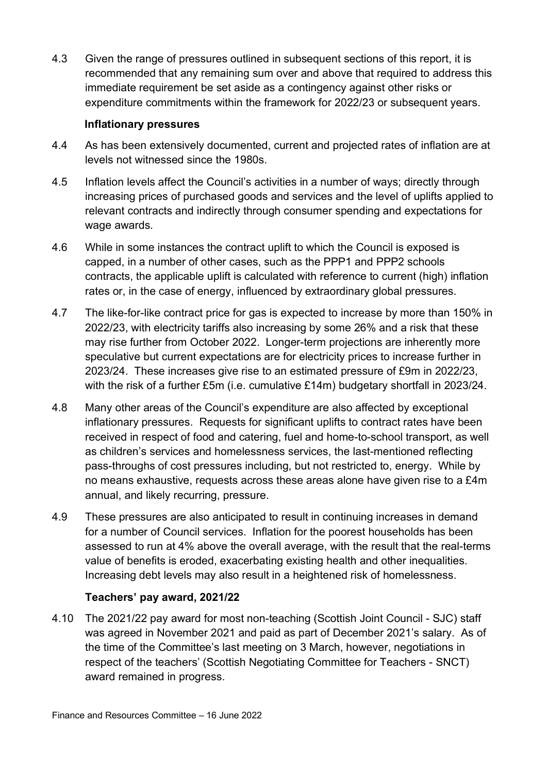4.3 Given the range of pressures outlined in subsequent sections of this report, it is recommended that any remaining sum over and above that required to address this immediate requirement be set aside as a contingency against other risks or expenditure commitments within the framework for 2022/23 or subsequent years.

#### **Inflationary pressures**

- 4.4 As has been extensively documented, current and projected rates of inflation are at levels not witnessed since the 1980s.
- 4.5 Inflation levels affect the Council's activities in a number of ways; directly through increasing prices of purchased goods and services and the level of uplifts applied to relevant contracts and indirectly through consumer spending and expectations for wage awards.
- 4.6 While in some instances the contract uplift to which the Council is exposed is capped, in a number of other cases, such as the PPP1 and PPP2 schools contracts, the applicable uplift is calculated with reference to current (high) inflation rates or, in the case of energy, influenced by extraordinary global pressures.
- 4.7 The like-for-like contract price for gas is expected to increase by more than 150% in 2022/23, with electricity tariffs also increasing by some 26% and a risk that these may rise further from October 2022. Longer-term projections are inherently more speculative but current expectations are for electricity prices to increase further in 2023/24. These increases give rise to an estimated pressure of £9m in 2022/23, with the risk of a further £5m (i.e. cumulative £14m) budgetary shortfall in 2023/24.
- 4.8 Many other areas of the Council's expenditure are also affected by exceptional inflationary pressures. Requests for significant uplifts to contract rates have been received in respect of food and catering, fuel and home-to-school transport, as well as children's services and homelessness services, the last-mentioned reflecting pass-throughs of cost pressures including, but not restricted to, energy. While by no means exhaustive, requests across these areas alone have given rise to a £4m annual, and likely recurring, pressure.
- 4.9 These pressures are also anticipated to result in continuing increases in demand for a number of Council services. Inflation for the poorest households has been assessed to run at 4% above the overall average, with the result that the real-terms value of benefits is eroded, exacerbating existing health and other inequalities. Increasing debt levels may also result in a heightened risk of homelessness.

#### **Teachers' pay award, 2021/22**

4.10 The 2021/22 pay award for most non-teaching (Scottish Joint Council - SJC) staff was agreed in November 2021 and paid as part of December 2021's salary. As of the time of the Committee's last meeting on 3 March, however, negotiations in respect of the teachers' (Scottish Negotiating Committee for Teachers - SNCT) award remained in progress.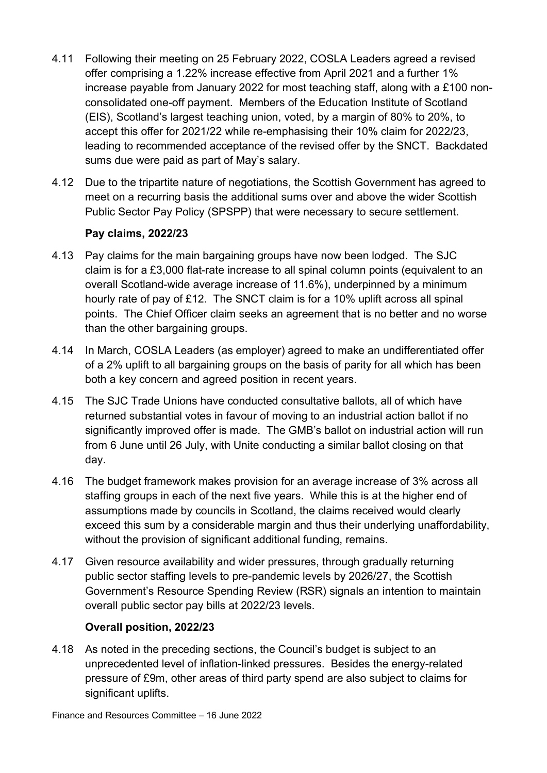- 4.11 Following their meeting on 25 February 2022, COSLA Leaders agreed a revised offer comprising a 1.22% increase effective from April 2021 and a further 1% increase payable from January 2022 for most teaching staff, along with a £100 nonconsolidated one-off payment. Members of the Education Institute of Scotland (EIS), Scotland's largest teaching union, voted, by a margin of 80% to 20%, to accept this offer for 2021/22 while re-emphasising their 10% claim for 2022/23, leading to recommended acceptance of the revised offer by the SNCT. Backdated sums due were paid as part of May's salary.
- 4.12 Due to the tripartite nature of negotiations, the Scottish Government has agreed to meet on a recurring basis the additional sums over and above the wider Scottish Public Sector Pay Policy (SPSPP) that were necessary to secure settlement.

#### **Pay claims, 2022/23**

- 4.13 Pay claims for the main bargaining groups have now been lodged. The SJC claim is for a £3,000 flat-rate increase to all spinal column points (equivalent to an overall Scotland-wide average increase of 11.6%), underpinned by a minimum hourly rate of pay of £12. The SNCT claim is for a 10% uplift across all spinal points. The Chief Officer claim seeks an agreement that is no better and no worse than the other bargaining groups.
- 4.14 In March, COSLA Leaders (as employer) agreed to make an undifferentiated offer of a 2% uplift to all bargaining groups on the basis of parity for all which has been both a key concern and agreed position in recent years.
- 4.15 The SJC Trade Unions have conducted consultative ballots, all of which have returned substantial votes in favour of moving to an industrial action ballot if no significantly improved offer is made. The GMB's ballot on industrial action will run from 6 June until 26 July, with Unite conducting a similar ballot closing on that day.
- 4.16 The budget framework makes provision for an average increase of 3% across all staffing groups in each of the next five years. While this is at the higher end of assumptions made by councils in Scotland, the claims received would clearly exceed this sum by a considerable margin and thus their underlying unaffordability, without the provision of significant additional funding, remains.
- 4.17 Given resource availability and wider pressures, through gradually returning public sector staffing levels to pre-pandemic levels by 2026/27, the Scottish Government's Resource Spending Review (RSR) signals an intention to maintain overall public sector pay bills at 2022/23 levels.

#### **Overall position, 2022/23**

4.18 As noted in the preceding sections, the Council's budget is subject to an unprecedented level of inflation-linked pressures. Besides the energy-related pressure of £9m, other areas of third party spend are also subject to claims for significant uplifts.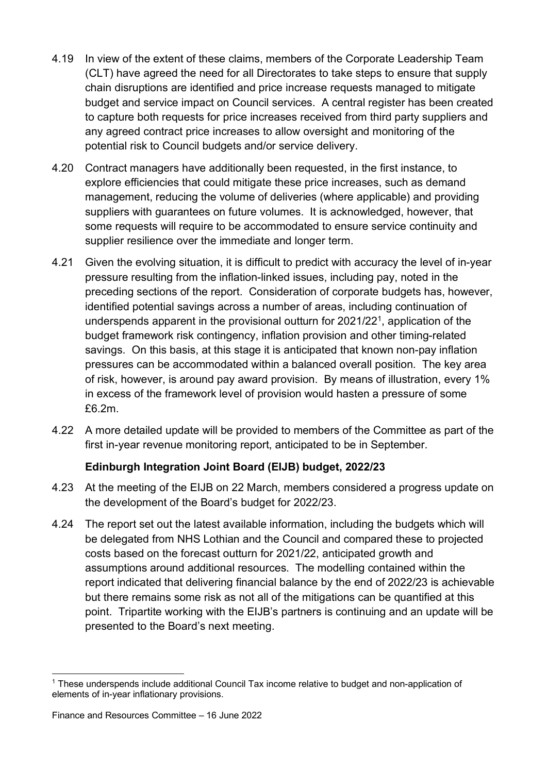- 4.19 In view of the extent of these claims, members of the Corporate Leadership Team (CLT) have agreed the need for all Directorates to take steps to ensure that supply chain disruptions are identified and price increase requests managed to mitigate budget and service impact on Council services. A central register has been created to capture both requests for price increases received from third party suppliers and any agreed contract price increases to allow oversight and monitoring of the potential risk to Council budgets and/or service delivery.
- 4.20 Contract managers have additionally been requested, in the first instance, to explore efficiencies that could mitigate these price increases, such as demand management, reducing the volume of deliveries (where applicable) and providing suppliers with guarantees on future volumes. It is acknowledged, however, that some requests will require to be accommodated to ensure service continuity and supplier resilience over the immediate and longer term.
- 4.21 Given the evolving situation, it is difficult to predict with accuracy the level of in-year pressure resulting from the inflation-linked issues, including pay, noted in the preceding sections of the report. Consideration of corporate budgets has, however, identified potential savings across a number of areas, including continuation of underspends apparent in the provisional outturn for 2021/22[1,](#page-5-0) application of the budget framework risk contingency, inflation provision and other timing-related savings. On this basis, at this stage it is anticipated that known non-pay inflation pressures can be accommodated within a balanced overall position. The key area of risk, however, is around pay award provision. By means of illustration, every 1% in excess of the framework level of provision would hasten a pressure of some £6.2m.
- 4.22 A more detailed update will be provided to members of the Committee as part of the first in-year revenue monitoring report, anticipated to be in September.

#### **Edinburgh Integration Joint Board (EIJB) budget, 2022/23**

- 4.23 At the meeting of the EIJB on 22 March, members considered a progress update on the development of the Board's budget for 2022/23.
- 4.24 The report set out the latest available information, including the budgets which will be delegated from NHS Lothian and the Council and compared these to projected costs based on the forecast outturn for 2021/22, anticipated growth and assumptions around additional resources. The modelling contained within the report indicated that delivering financial balance by the end of 2022/23 is achievable but there remains some risk as not all of the mitigations can be quantified at this point. Tripartite working with the EIJB's partners is continuing and an update will be presented to the Board's next meeting.

<span id="page-5-0"></span><sup>1</sup> These underspends include additional Council Tax income relative to budget and non-application of elements of in-year inflationary provisions.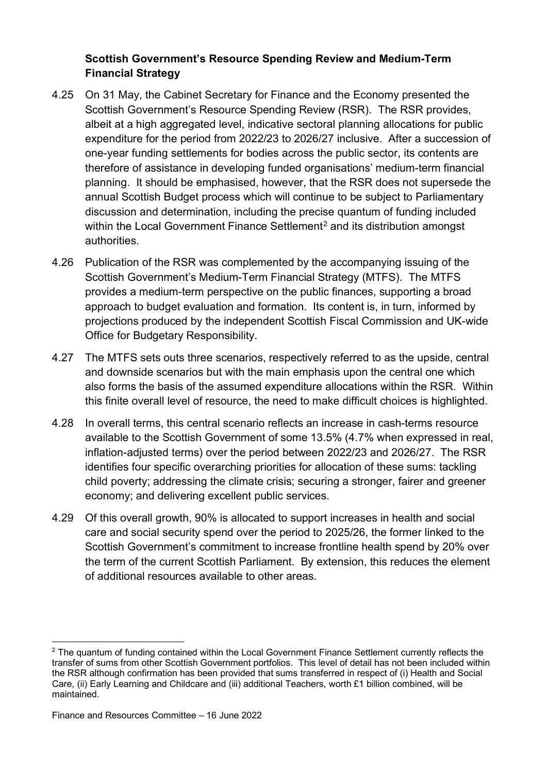#### **Scottish Government's Resource Spending Review and Medium-Term Financial Strategy**

- 4.25 On 31 May, the Cabinet Secretary for Finance and the Economy presented the Scottish Government's Resource Spending Review (RSR). The RSR provides, albeit at a high aggregated level, indicative sectoral planning allocations for public expenditure for the period from 2022/23 to 2026/27 inclusive. After a succession of one-year funding settlements for bodies across the public sector, its contents are therefore of assistance in developing funded organisations' medium-term financial planning. It should be emphasised, however, that the RSR does not supersede the annual Scottish Budget process which will continue to be subject to Parliamentary discussion and determination, including the precise quantum of funding included within the Local Government Finance Settlement<sup>[2](#page-6-0)</sup> and its distribution amongst authorities.
- 4.26 Publication of the RSR was complemented by the accompanying issuing of the Scottish Government's Medium-Term Financial Strategy (MTFS). The MTFS provides a medium-term perspective on the public finances, supporting a broad approach to budget evaluation and formation. Its content is, in turn, informed by projections produced by the independent Scottish Fiscal Commission and UK-wide Office for Budgetary Responsibility.
- 4.27 The MTFS sets outs three scenarios, respectively referred to as the upside, central and downside scenarios but with the main emphasis upon the central one which also forms the basis of the assumed expenditure allocations within the RSR. Within this finite overall level of resource, the need to make difficult choices is highlighted.
- 4.28 In overall terms, this central scenario reflects an increase in cash-terms resource available to the Scottish Government of some 13.5% (4.7% when expressed in real, inflation-adjusted terms) over the period between 2022/23 and 2026/27. The RSR identifies four specific overarching priorities for allocation of these sums: tackling child poverty; addressing the climate crisis; securing a stronger, fairer and greener economy; and delivering excellent public services.
- 4.29 Of this overall growth, 90% is allocated to support increases in health and social care and social security spend over the period to 2025/26, the former linked to the Scottish Government's commitment to increase frontline health spend by 20% over the term of the current Scottish Parliament. By extension, this reduces the element of additional resources available to other areas.

<span id="page-6-0"></span> $2$  The quantum of funding contained within the Local Government Finance Settlement currently reflects the transfer of sums from other Scottish Government portfolios. This level of detail has not been included within the RSR although confirmation has been provided that sums transferred in respect of (i) Health and Social Care, (ii) Early Learning and Childcare and (iii) additional Teachers, worth £1 billion combined, will be maintained.

Finance and Resources Committee – 16 June 2022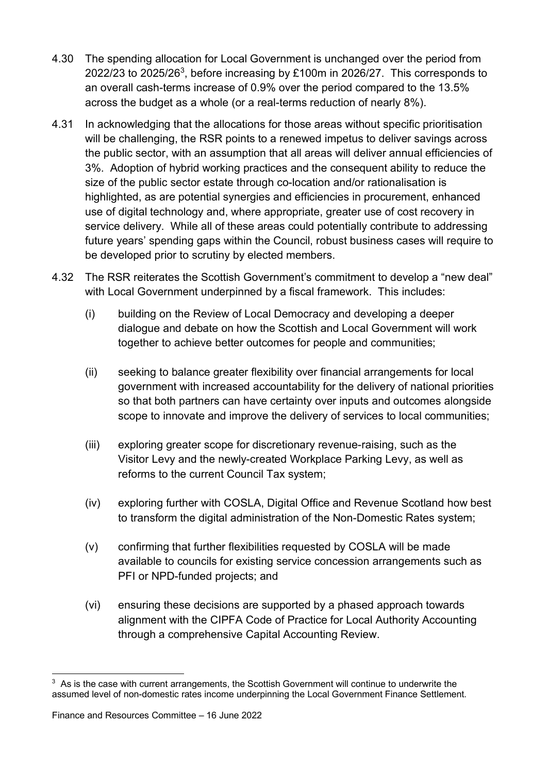- 4.30 The spending allocation for Local Government is unchanged over the period from 2022/23 to 2025/26[3,](#page-7-0) before increasing by £100m in 2026/27. This corresponds to an overall cash-terms increase of 0.9% over the period compared to the 13.5% across the budget as a whole (or a real-terms reduction of nearly 8%).
- 4.31 In acknowledging that the allocations for those areas without specific prioritisation will be challenging, the RSR points to a renewed impetus to deliver savings across the public sector, with an assumption that all areas will deliver annual efficiencies of 3%. Adoption of hybrid working practices and the consequent ability to reduce the size of the public sector estate through co-location and/or rationalisation is highlighted, as are potential synergies and efficiencies in procurement, enhanced use of digital technology and, where appropriate, greater use of cost recovery in service delivery. While all of these areas could potentially contribute to addressing future years' spending gaps within the Council, robust business cases will require to be developed prior to scrutiny by elected members.
- 4.32 The RSR reiterates the Scottish Government's commitment to develop a "new deal" with Local Government underpinned by a fiscal framework. This includes:
	- (i) building on the Review of Local Democracy and developing a deeper dialogue and debate on how the Scottish and Local Government will work together to achieve better outcomes for people and communities;
	- (ii) seeking to balance greater flexibility over financial arrangements for local government with increased accountability for the delivery of national priorities so that both partners can have certainty over inputs and outcomes alongside scope to innovate and improve the delivery of services to local communities;
	- (iii) exploring greater scope for discretionary revenue-raising, such as the Visitor Levy and the newly-created Workplace Parking Levy, as well as reforms to the current Council Tax system;
	- (iv) exploring further with COSLA, Digital Office and Revenue Scotland how best to transform the digital administration of the Non-Domestic Rates system;
	- (v) confirming that further flexibilities requested by COSLA will be made available to councils for existing service concession arrangements such as PFI or NPD-funded projects; and
	- (vi) ensuring these decisions are supported by a phased approach towards alignment with the CIPFA Code of Practice for Local Authority Accounting through a comprehensive Capital Accounting Review.

<span id="page-7-0"></span> $3$  As is the case with current arrangements, the Scottish Government will continue to underwrite the assumed level of non-domestic rates income underpinning the Local Government Finance Settlement.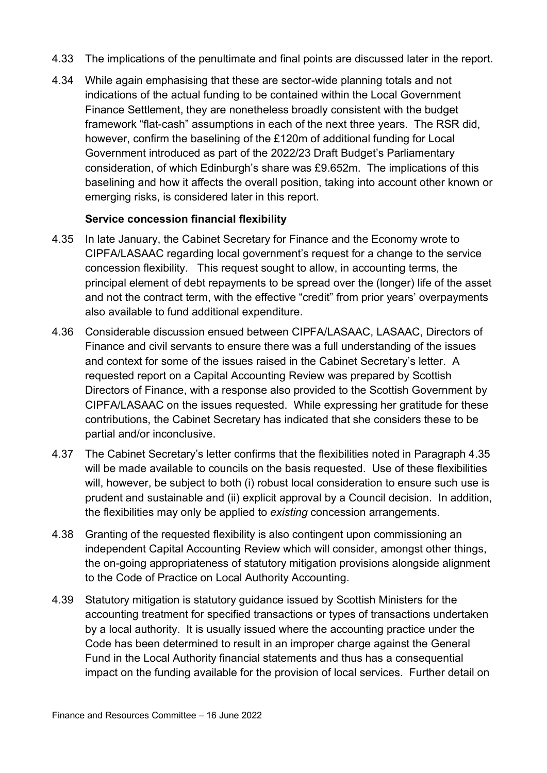- 4.33 The implications of the penultimate and final points are discussed later in the report.
- 4.34 While again emphasising that these are sector-wide planning totals and not indications of the actual funding to be contained within the Local Government Finance Settlement, they are nonetheless broadly consistent with the budget framework "flat-cash" assumptions in each of the next three years. The RSR did, however, confirm the baselining of the £120m of additional funding for Local Government introduced as part of the 2022/23 Draft Budget's Parliamentary consideration, of which Edinburgh's share was £9.652m. The implications of this baselining and how it affects the overall position, taking into account other known or emerging risks, is considered later in this report.

#### **Service concession financial flexibility**

- 4.35 In late January, the Cabinet Secretary for Finance and the Economy wrote to CIPFA/LASAAC regarding local government's request for a change to the service concession flexibility. This request sought to allow, in accounting terms, the principal element of debt repayments to be spread over the (longer) life of the asset and not the contract term, with the effective "credit" from prior years' overpayments also available to fund additional expenditure.
- 4.36 Considerable discussion ensued between CIPFA/LASAAC, LASAAC, Directors of Finance and civil servants to ensure there was a full understanding of the issues and context for some of the issues raised in the Cabinet Secretary's letter. A requested report on a Capital Accounting Review was prepared by Scottish Directors of Finance, with a response also provided to the Scottish Government by CIPFA/LASAAC on the issues requested. While expressing her gratitude for these contributions, the Cabinet Secretary has indicated that she considers these to be partial and/or inconclusive.
- 4.37 The Cabinet Secretary's letter confirms that the flexibilities noted in Paragraph 4.35 will be made available to councils on the basis requested. Use of these flexibilities will, however, be subject to both (i) robust local consideration to ensure such use is prudent and sustainable and (ii) explicit approval by a Council decision. In addition, the flexibilities may only be applied to *existing* concession arrangements.
- 4.38 Granting of the requested flexibility is also contingent upon commissioning an independent Capital Accounting Review which will consider, amongst other things, the on-going appropriateness of statutory mitigation provisions alongside alignment to the Code of Practice on Local Authority Accounting.
- 4.39 Statutory mitigation is statutory guidance issued by Scottish Ministers for the accounting treatment for specified transactions or types of transactions undertaken by a local authority. It is usually issued where the accounting practice under the Code has been determined to result in an improper charge against the General Fund in the Local Authority financial statements and thus has a consequential impact on the funding available for the provision of local services. Further detail on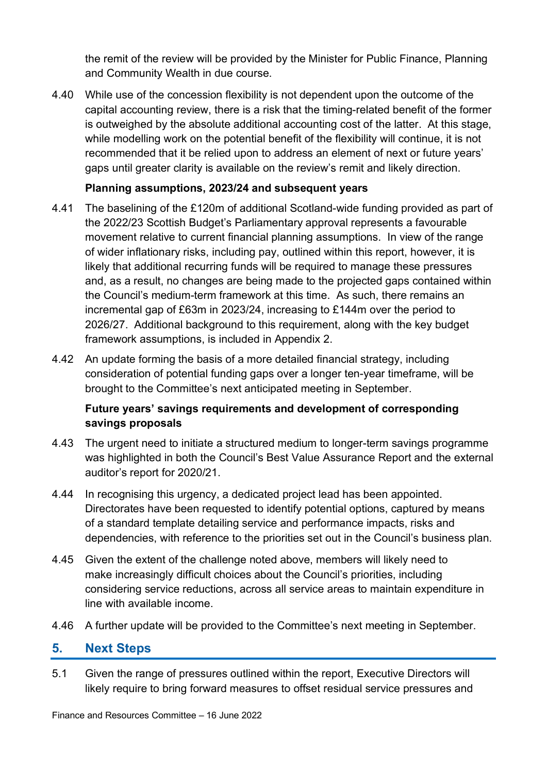the remit of the review will be provided by the Minister for Public Finance, Planning and Community Wealth in due course.

4.40 While use of the concession flexibility is not dependent upon the outcome of the capital accounting review, there is a risk that the timing-related benefit of the former is outweighed by the absolute additional accounting cost of the latter. At this stage, while modelling work on the potential benefit of the flexibility will continue, it is not recommended that it be relied upon to address an element of next or future years' gaps until greater clarity is available on the review's remit and likely direction.

#### **Planning assumptions, 2023/24 and subsequent years**

- 4.41 The baselining of the £120m of additional Scotland-wide funding provided as part of the 2022/23 Scottish Budget's Parliamentary approval represents a favourable movement relative to current financial planning assumptions. In view of the range of wider inflationary risks, including pay, outlined within this report, however, it is likely that additional recurring funds will be required to manage these pressures and, as a result, no changes are being made to the projected gaps contained within the Council's medium-term framework at this time. As such, there remains an incremental gap of £63m in 2023/24, increasing to £144m over the period to 2026/27. Additional background to this requirement, along with the key budget framework assumptions, is included in Appendix 2.
- 4.42 An update forming the basis of a more detailed financial strategy, including consideration of potential funding gaps over a longer ten-year timeframe, will be brought to the Committee's next anticipated meeting in September.

#### **Future years' savings requirements and development of corresponding savings proposals**

- 4.43 The urgent need to initiate a structured medium to longer-term savings programme was highlighted in both the Council's Best Value Assurance Report and the external auditor's report for 2020/21.
- 4.44 In recognising this urgency, a dedicated project lead has been appointed. Directorates have been requested to identify potential options, captured by means of a standard template detailing service and performance impacts, risks and dependencies, with reference to the priorities set out in the Council's business plan.
- 4.45 Given the extent of the challenge noted above, members will likely need to make increasingly difficult choices about the Council's priorities, including considering service reductions, across all service areas to maintain expenditure in line with available income.
- 4.46 A further update will be provided to the Committee's next meeting in September.

#### **5. Next Steps**

5.1 Given the range of pressures outlined within the report, Executive Directors will likely require to bring forward measures to offset residual service pressures and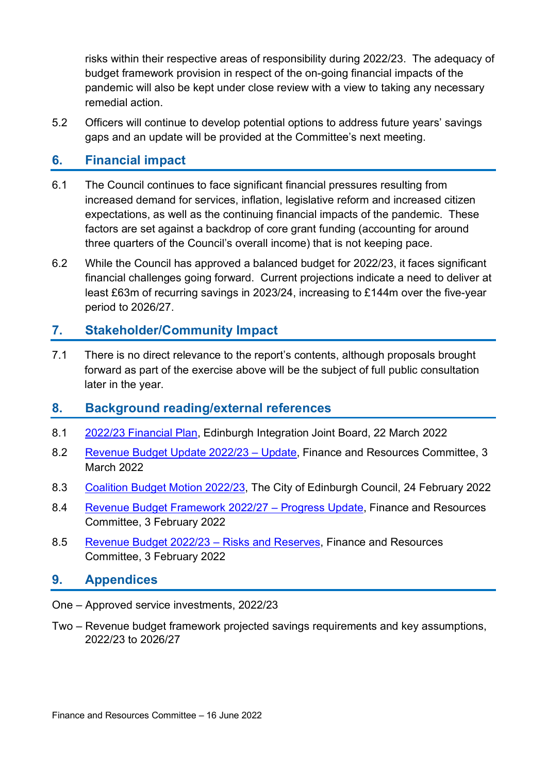risks within their respective areas of responsibility during 2022/23. The adequacy of budget framework provision in respect of the on-going financial impacts of the pandemic will also be kept under close review with a view to taking any necessary remedial action.

5.2 Officers will continue to develop potential options to address future years' savings gaps and an update will be provided at the Committee's next meeting.

#### **6. Financial impact**

- 6.1 The Council continues to face significant financial pressures resulting from increased demand for services, inflation, legislative reform and increased citizen expectations, as well as the continuing financial impacts of the pandemic. These factors are set against a backdrop of core grant funding (accounting for around three quarters of the Council's overall income) that is not keeping pace.
- 6.2 While the Council has approved a balanced budget for 2022/23, it faces significant financial challenges going forward. Current projections indicate a need to deliver at least £63m of recurring savings in 2023/24, increasing to £144m over the five-year period to 2026/27.

#### **7. Stakeholder/Community Impact**

7.1 There is no direct relevance to the report's contents, although proposals brought forward as part of the exercise above will be the subject of full public consultation later in the year.

#### **8. Background reading/external references**

- 8.1 [2022/23 Financial Plan,](https://democracy.edinburgh.gov.uk/documents/s45731/6.2%202022-23%20Financial%20Plan.pdf) Edinburgh Integration Joint Board, 22 March 2022
- 8.2 [Revenue Budget Update 2022/23 Update,](https://democracy.edinburgh.gov.uk/documents/s43161/7.3%20-%20Revenue%20Budget%20Update%20202223%20Update.pdf) Finance and Resources Committee, 3 March 2022
- 8.3 [Coalition Budget Motion 2022/23,](https://democracy.edinburgh.gov.uk/documents/b19392/Coalition%20Budget%20Motion%202022-23%2024th-Feb-2022%2010.00%20City%20of%20Edinburgh%20Council.pdf?T=9) The City of Edinburgh Council, 24 February 2022
- 8.4 [Revenue Budget Framework 2022/27 Progress Update,](https://democracy.edinburgh.gov.uk/documents/s42073/7.2%20-%20Revenue%20Budget%20Framework%20202227%20progress%20update.pdf) Finance and Resources Committee, 3 February 2022
- 8.5 [Revenue Budget 2022/23 Risks and Reserves,](https://democracy.edinburgh.gov.uk/documents/s42074/7.3%20-%20Revenue%20Budget%20202223%20-%20Risks%20and%20Reserves.pdf) Finance and Resources Committee, 3 February 2022

#### **9. Appendices**

- One Approved service investments, 2022/23
- Two Revenue budget framework projected savings requirements and key assumptions, 2022/23 to 2026/27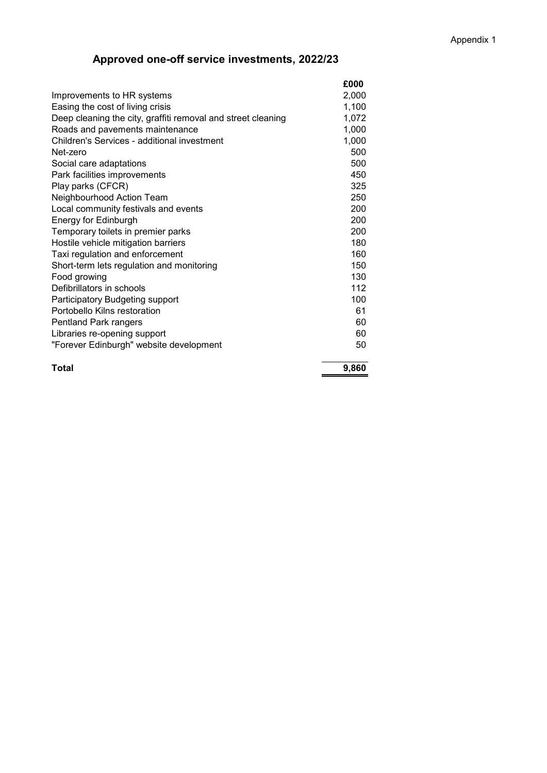### **Approved one-off service investments, 2022/23**

|                                                              | £000  |
|--------------------------------------------------------------|-------|
| Improvements to HR systems                                   | 2,000 |
| Easing the cost of living crisis                             | 1,100 |
| Deep cleaning the city, graffiti removal and street cleaning | 1,072 |
| Roads and pavements maintenance                              | 1,000 |
| Children's Services - additional investment                  | 1,000 |
| Net-zero                                                     | 500   |
| Social care adaptations                                      | 500   |
| Park facilities improvements                                 | 450   |
| Play parks (CFCR)                                            | 325   |
| Neighbourhood Action Team                                    | 250   |
| Local community festivals and events                         | 200   |
| Energy for Edinburgh                                         | 200   |
| Temporary toilets in premier parks                           | 200   |
| Hostile vehicle mitigation barriers                          | 180   |
| Taxi regulation and enforcement                              | 160   |
| Short-term lets regulation and monitoring                    | 150   |
| Food growing                                                 | 130   |
| Defibrillators in schools                                    | 112   |
| Participatory Budgeting support                              | 100   |
| Portobello Kilns restoration                                 | 61    |
| Pentland Park rangers                                        | 60    |
| Libraries re-opening support                                 | 60    |
| "Forever Edinburgh" website development                      | 50    |
| <b>Total</b>                                                 | 9,860 |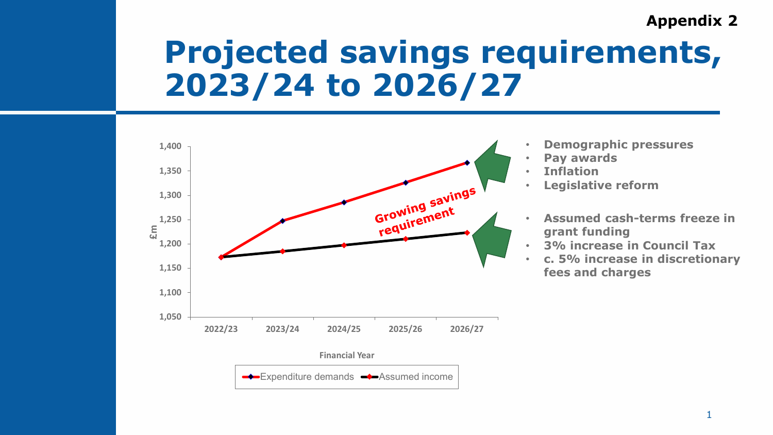## **Appendix 2**

# **Projected savings requirements, 2023/24 to 2026/27**